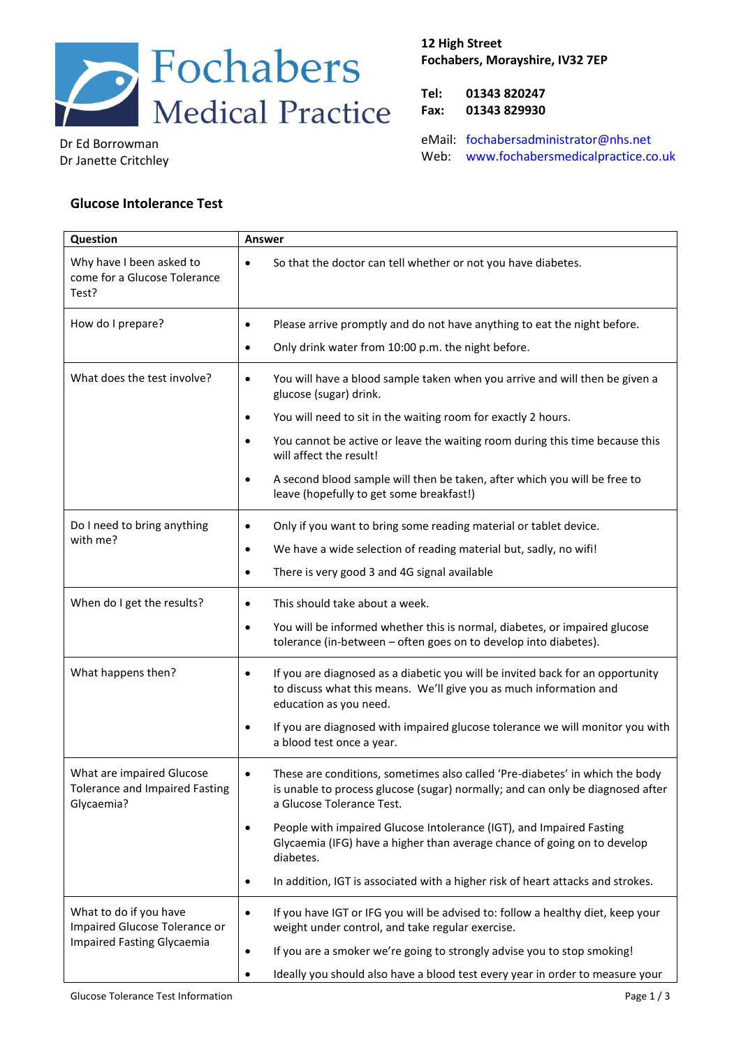

Dr Ed Borrowman Dr Janette Critchley

## **12 High Street Fochabers, Morayshire, IV32 7EP**

**Tel: 01343 820247 Fax: 01343 829930**

eMail: [fochabersadministrator@nhs.net](mailto:fochabersadministrator@nhs.net) Web: [www.fochabersmedicalpractice.co.uk](https://www.fochabersmedicalpractice.co.uk/)

## **Glucose Intolerance Test**

| Question                                                                              | Answer                                                                                                                                                                                                   |  |
|---------------------------------------------------------------------------------------|----------------------------------------------------------------------------------------------------------------------------------------------------------------------------------------------------------|--|
| Why have I been asked to<br>come for a Glucose Tolerance<br>Test?                     | So that the doctor can tell whether or not you have diabetes.<br>$\bullet$                                                                                                                               |  |
| How do I prepare?                                                                     | Please arrive promptly and do not have anything to eat the night before.<br>$\bullet$                                                                                                                    |  |
|                                                                                       | Only drink water from 10:00 p.m. the night before.<br>$\bullet$                                                                                                                                          |  |
| What does the test involve?                                                           | You will have a blood sample taken when you arrive and will then be given a<br>$\bullet$<br>glucose (sugar) drink.                                                                                       |  |
|                                                                                       | You will need to sit in the waiting room for exactly 2 hours.<br>$\bullet$                                                                                                                               |  |
|                                                                                       | You cannot be active or leave the waiting room during this time because this<br>$\bullet$<br>will affect the result!                                                                                     |  |
|                                                                                       | A second blood sample will then be taken, after which you will be free to<br>$\bullet$<br>leave (hopefully to get some breakfast!)                                                                       |  |
| Do I need to bring anything<br>with me?                                               | Only if you want to bring some reading material or tablet device.<br>$\bullet$                                                                                                                           |  |
|                                                                                       | We have a wide selection of reading material but, sadly, no wifi!<br>$\bullet$                                                                                                                           |  |
|                                                                                       | There is very good 3 and 4G signal available<br>$\bullet$                                                                                                                                                |  |
| When do I get the results?                                                            | This should take about a week.<br>$\bullet$                                                                                                                                                              |  |
|                                                                                       | You will be informed whether this is normal, diabetes, or impaired glucose<br>$\bullet$<br>tolerance (in-between - often goes on to develop into diabetes).                                              |  |
| What happens then?                                                                    | If you are diagnosed as a diabetic you will be invited back for an opportunity<br>$\bullet$<br>to discuss what this means. We'll give you as much information and<br>education as you need.              |  |
|                                                                                       | If you are diagnosed with impaired glucose tolerance we will monitor you with<br>$\bullet$<br>a blood test once a year.                                                                                  |  |
| What are impaired Glucose<br><b>Tolerance and Impaired Fasting</b><br>Glycaemia?      | These are conditions, sometimes also called 'Pre-diabetes' in which the body<br>$\bullet$<br>is unable to process glucose (sugar) normally; and can only be diagnosed after<br>a Glucose Tolerance Test. |  |
|                                                                                       | People with impaired Glucose Intolerance (IGT), and Impaired Fasting<br>$\bullet$<br>Glycaemia (IFG) have a higher than average chance of going on to develop<br>diabetes.                               |  |
|                                                                                       | In addition, IGT is associated with a higher risk of heart attacks and strokes.<br>$\bullet$                                                                                                             |  |
| What to do if you have<br>Impaired Glucose Tolerance or<br>Impaired Fasting Glycaemia | If you have IGT or IFG you will be advised to: follow a healthy diet, keep your<br>$\bullet$<br>weight under control, and take regular exercise.                                                         |  |
|                                                                                       | If you are a smoker we're going to strongly advise you to stop smoking!<br>$\bullet$                                                                                                                     |  |
|                                                                                       | Ideally you should also have a blood test every year in order to measure your<br>٠                                                                                                                       |  |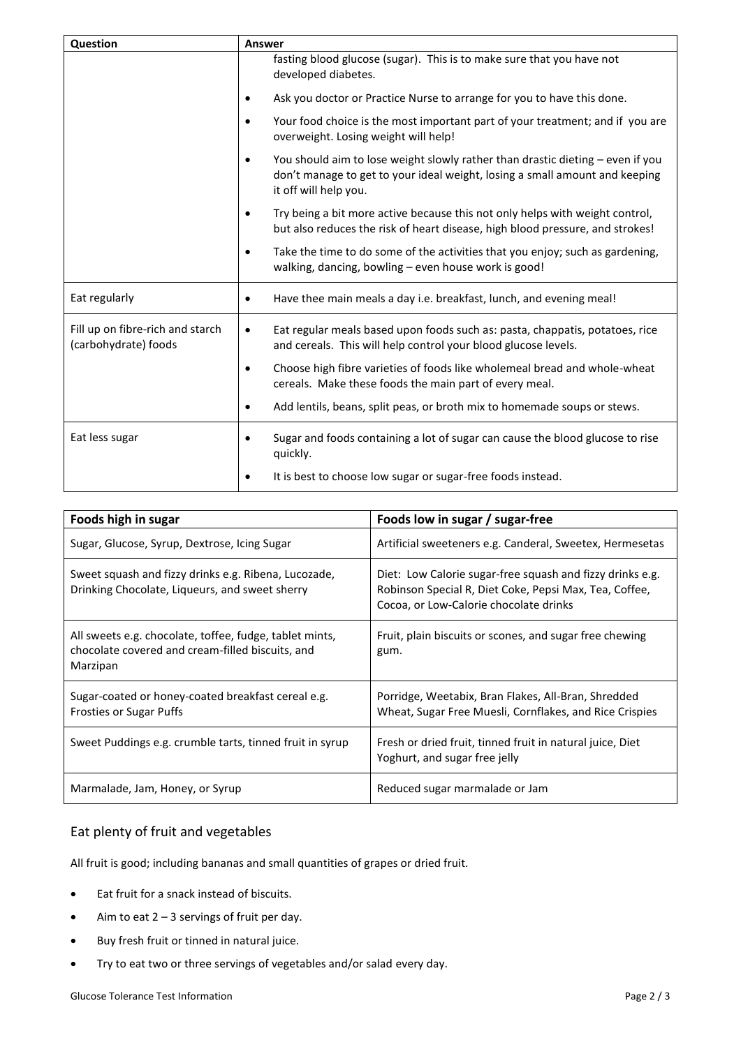| Question                                                 | <b>Answer</b>                                                                                                                                                                                       |  |
|----------------------------------------------------------|-----------------------------------------------------------------------------------------------------------------------------------------------------------------------------------------------------|--|
|                                                          | fasting blood glucose (sugar). This is to make sure that you have not<br>developed diabetes.                                                                                                        |  |
|                                                          | Ask you doctor or Practice Nurse to arrange for you to have this done.<br>$\bullet$                                                                                                                 |  |
|                                                          | Your food choice is the most important part of your treatment; and if you are<br>$\bullet$<br>overweight. Losing weight will help!                                                                  |  |
|                                                          | You should aim to lose weight slowly rather than drastic dieting - even if you<br>$\bullet$<br>don't manage to get to your ideal weight, losing a small amount and keeping<br>it off will help you. |  |
|                                                          | Try being a bit more active because this not only helps with weight control,<br>$\bullet$<br>but also reduces the risk of heart disease, high blood pressure, and strokes!                          |  |
|                                                          | Take the time to do some of the activities that you enjoy; such as gardening,<br>$\bullet$<br>walking, dancing, bowling - even house work is good!                                                  |  |
| Eat regularly                                            | Have thee main meals a day i.e. breakfast, lunch, and evening meal!<br>$\bullet$                                                                                                                    |  |
| Fill up on fibre-rich and starch<br>(carbohydrate) foods | Eat regular meals based upon foods such as: pasta, chappatis, potatoes, rice<br>$\bullet$<br>and cereals. This will help control your blood glucose levels.                                         |  |
|                                                          | Choose high fibre varieties of foods like wholemeal bread and whole-wheat<br>$\bullet$<br>cereals. Make these foods the main part of every meal.                                                    |  |
|                                                          | Add lentils, beans, split peas, or broth mix to homemade soups or stews.<br>٠                                                                                                                       |  |
| Eat less sugar                                           | Sugar and foods containing a lot of sugar can cause the blood glucose to rise<br>٠<br>quickly.                                                                                                      |  |
|                                                          | It is best to choose low sugar or sugar-free foods instead.                                                                                                                                         |  |

| Foods high in sugar                                                                                                     | Foods low in sugar / sugar-free                                                                                                                               |
|-------------------------------------------------------------------------------------------------------------------------|---------------------------------------------------------------------------------------------------------------------------------------------------------------|
| Sugar, Glucose, Syrup, Dextrose, Icing Sugar                                                                            | Artificial sweeteners e.g. Canderal, Sweetex, Hermesetas                                                                                                      |
| Sweet squash and fizzy drinks e.g. Ribena, Lucozade,<br>Drinking Chocolate, Liqueurs, and sweet sherry                  | Diet: Low Calorie sugar-free squash and fizzy drinks e.g.<br>Robinson Special R, Diet Coke, Pepsi Max, Tea, Coffee,<br>Cocoa, or Low-Calorie chocolate drinks |
| All sweets e.g. chocolate, toffee, fudge, tablet mints,<br>chocolate covered and cream-filled biscuits, and<br>Marzipan | Fruit, plain biscuits or scones, and sugar free chewing<br>gum.                                                                                               |
| Sugar-coated or honey-coated breakfast cereal e.g.<br><b>Frosties or Sugar Puffs</b>                                    | Porridge, Weetabix, Bran Flakes, All-Bran, Shredded<br>Wheat, Sugar Free Muesli, Cornflakes, and Rice Crispies                                                |
| Sweet Puddings e.g. crumble tarts, tinned fruit in syrup                                                                | Fresh or dried fruit, tinned fruit in natural juice, Diet<br>Yoghurt, and sugar free jelly                                                                    |
| Marmalade, Jam, Honey, or Syrup                                                                                         | Reduced sugar marmalade or Jam                                                                                                                                |

# Eat plenty of fruit and vegetables

All fruit is good; including bananas and small quantities of grapes or dried fruit.

- Eat fruit for a snack instead of biscuits.
- $\bullet$  Aim to eat 2 3 servings of fruit per day.
- Buy fresh fruit or tinned in natural juice.
- Try to eat two or three servings of vegetables and/or salad every day.